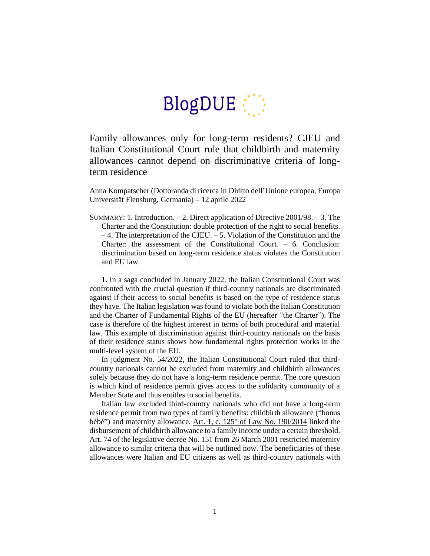## $BlogDUE$

Family allowances only for long-term residents? CJEU and Italian Constitutional Court rule that childbirth and maternity allowances cannot depend on discriminative criteria of longterm residence

Anna Kompatscher (Dottoranda di ricerca in Diritto dell'Unione europea, Europa Universität Flensburg, Germania) – 12 aprile 2022

SUMMARY: 1. Introduction. – 2. Direct application of Directive 2001/98. – 3. The Charter and the Constitution: double protection of the right to social benefits. – 4. The interpretation of the CJEU. – 5. Violation of the Constitution and the Charter: the assessment of the Constitutional Court. – 6. Conclusion: discrimination based on long-term residence status violates the Constitution and EU law.

**1.** In a saga concluded in January 2022, the Italian Constitutional Court was confronted with the crucial question if third-country nationals are discriminated against if their access to social benefits is based on the type of residence status they have. The Italian legislation was found to violate both the Italian Constitution and the Charter of Fundamental Rights of the EU (hereafter "the Charter"). The case is therefore of the highest interest in terms of both procedural and material law. This example of discrimination against third-country nationals on the basis of their residence status shows how fundamental rights protection works in the multi-level system of the EU.

In [judgment No.](https://www.cortecostituzionale.it/actionPronuncia.do) 54/2022, the Italian Constitutional Court ruled that thirdcountry nationals cannot be excluded from maternity and childbirth allowances solely because they do not have a long-term residence permit. The core question is which kind of residence permit gives access to the solidarity community of a Member State and thus entitles to social benefits.

Italian law excluded third-country nationals who did not have a long-term residence permit from two types of family benefits: childbirth allowance ("bonus bébé") and maternity allowance. [Art. 1, c. 125° of Law No.](https://www.gazzettaufficiale.it/eli/id/2014/12/29/14G00203/sg) 190/2014 linked the disbursement of childbirth allowance to a family income under a certain threshold. [Art. 74 of the legislative decree No.](https://www.gazzettaufficiale.it/eli/id/2001/04/26/001G0200/sg) 151 from 26 March 2001 restricted maternity allowance to similar criteria that will be outlined now. The beneficiaries of these allowances were Italian and EU citizens as well as third-country nationals with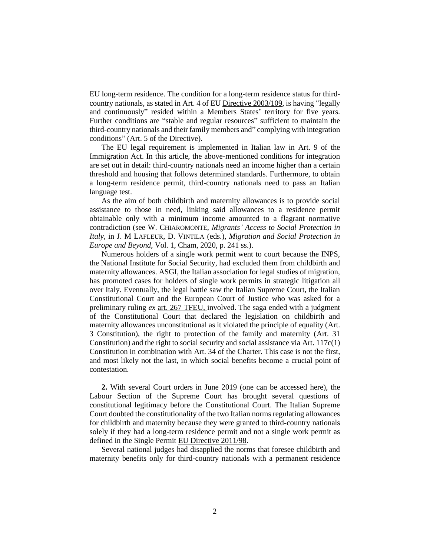EU long-term residence. The condition for a long-term residence status for thirdcountry nationals, as stated in Art. 4 of EU [Directive 2003/109,](https://eur-lex.europa.eu/legal-content/EN/TXT/PDF/?uri=CELEX:02003L0109-20110520&qid=1472219910415&from=EN) is having "legally and continuously" resided within a Members States' territory for five years. Further conditions are "stable and regular resources" sufficient to maintain the third-country nationals and their family members and" complying with integration conditions" (Art. 5 of the Directive).

The EU legal requirement is implemented in Italian law in [Art. 9 of the](https://www.gazzettaufficiale.it/eli/id/1998/08/18/098G0348/sg)  [Immigration Act.](https://www.gazzettaufficiale.it/eli/id/1998/08/18/098G0348/sg) In this article, the above-mentioned conditions for integration are set out in detail: third-country nationals need an income higher than a certain threshold and housing that follows determined standards. Furthermore, to obtain a long-term residence permit, third-country nationals need to pass an Italian language test.

As the aim of both childbirth and maternity allowances is to provide social assistance to those in need, linking said allowances to a residence permit obtainable only with a minimum income amounted to a flagrant normative contradiction (see W. CHIAROMONTE, *Migrants' Access to Social Protection in Italy*, in J. M LAFLEUR, D. VINTILA (eds.), *Migration and Social Protection in Europe and Beyond*, Vol. 1, Cham, 2020, p. 241 ss.).

Numerous holders of a single work permit went to court because the INPS, the National Institute for Social Security, had excluded them from childbirth and maternity allowances. ASGI, the Italian association for legal studies of migration, has promoted cases for holders of single work permits in [strategic litigation](https://www.asgi.it/discriminazioni/luci-e-ombre-nella-rimessione-alla-corte-costituzionale-delle-norme-su-bonus-bebe-e-indennita-di-maternita/) all over Italy. Eventually, the legal battle saw the Italian Supreme Court, the Italian Constitutional Court and the European Court of Justice who was asked for a preliminary ruling *ex* [art. 267 TFEU,](https://eur-lex.europa.eu/LexUriServ/LexUriServ.do?uri=CELEX:12008E267:en:HTML) involved. The saga ended with a judgment of the Constitutional Court that declared the legislation on childbirth and maternity allowances unconstitutional as it violated the principle of equality (Art. 3 Constitution), the right to protection of the family and maternity (Art. 31 Constitution) and the right to social security and social assistance via Art.  $117c(1)$ Constitution in combination with Art. 34 of the Charter. This case is not the first, and most likely not the last, in which social benefits become a crucial point of contestation.

**2.** With several Court orders in June 2019 (one can be accessed [here\)](https://www.asgi.it/wp-content/uploads/2019/06/Corte-di-Cassazione-17-giugno-2019-ordinanza-n.-16164-rel.-DAntonio-INPS-avv.ti-Coretti-Triolo-e-Stumpo-c.-xxx-avv.-Guariso.pdf), the Labour Section of the Supreme Court has brought several questions of constitutional legitimacy before the Constitutional Court. The Italian Supreme Court doubted the constitutionality of the two Italian norms regulating allowances for childbirth and maternity because they were granted to third-country nationals solely if they had a long-term residence permit and not a single work permit as defined in the Single Permit [EU Directive 2011/98.](https://eur-lex.europa.eu/legal-content/EN/ALL/?uri=celex%3A32011L0098)

Several national judges had disapplied the norms that foresee childbirth and maternity benefits only for third-country nationals with a permanent residence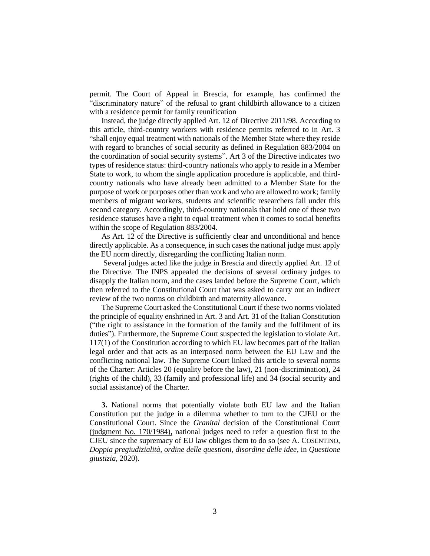permit. The Court of Appeal in Brescia, for example, has confirmed the "discriminatory nature" of the refusal to grant childbirth allowance to a citizen with a residence permit for family reunification

Instead, the judge directly applied Art. 12 of Directive 2011/98. According to this article, third-country workers with residence permits referred to in Art. 3 "shall enjoy equal treatment with nationals of the Member State where they reside with regard to branches of social security as defined in [Regulation 883/2004](https://eur-lex.europa.eu/legal-content/EN/TXT/PDF/?uri=CELEX:32004R0883&from=DE) on the coordination of social security systems". Art 3 of the Directive indicates two types of residence status: third-country nationals who apply to reside in a Member State to work, to whom the single application procedure is applicable, and thirdcountry nationals who have already been admitted to a Member State for the purpose of work or purposes other than work and who are allowed to work; family members of migrant workers, students and scientific researchers fall under this second category. Accordingly, third-country nationals that hold one of these two residence statuses have a right to equal treatment when it comes to social benefits within the scope of Regulation 883/2004.

As Art. 12 of the Directive is sufficiently clear and unconditional and hence directly applicable. As a consequence, in such cases the national judge must apply the EU norm directly, disregarding the conflicting Italian norm.

Several judges acted like the judge in Brescia and directly applied Art. 12 of the Directive. The INPS appealed the decisions of several ordinary judges to disapply the Italian norm, and the cases landed before the Supreme Court, which then referred to the Constitutional Court that was asked to carry out an indirect review of the two norms on childbirth and maternity allowance.

The Supreme Court asked the Constitutional Court if these two norms violated the principle of equality enshrined in Art. 3 and Art. 31 of the Italian Constitution ("the right to assistance in the formation of the family and the fulfilment of its duties"). Furthermore, the Supreme Court suspected the legislation to violate Art. 117(1) of the Constitution according to which EU law becomes part of the Italian legal order and that acts as an interposed norm between the EU Law and the conflicting national law. The Supreme Court linked this article to several norms of the Charter: Articles 20 (equality before the law), 21 (non-discrimination), 24 (rights of the child), 33 (family and professional life) and 34 (social security and social assistance) of the Charter.

**3.** National norms that potentially violate both EU law and the Italian Constitution put the judge in a dilemma whether to turn to the CJEU or the Constitutional Court. Since the *Granital* decision of the Constitutional Court [\(judgment No. 170/1984\),](https://www.giurcost.org/decisioni/1984/0170s-84.html) national judges need to refer a question first to the CJEU since the supremacy of EU law obliges them to do so (see A. COSENTINO, *[Doppia pregiudizialità, ordine delle questioni, disordine delle idee](https://www.questionegiustizia.it/articolo/doppia-pregiudizialita-ordine-delle-questioni-disordine-delle-idee_06-02-2020.php)*, in *Questione giustizia,* 2020).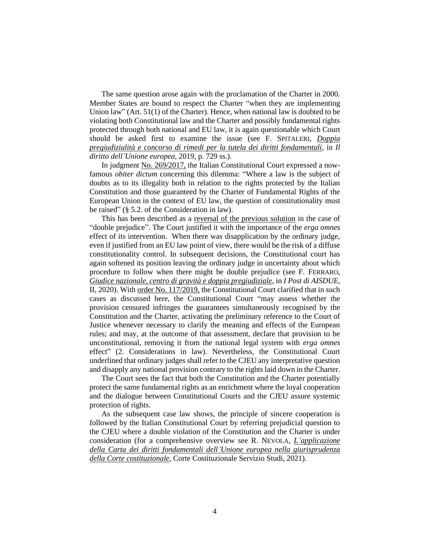The same question arose again with the proclamation of the Charter in 2000. Member States are bound to respect the Charter "when they are implementing Union law" (Art. 51(1) of the Charter). Hence, when national law is doubted to be violating both Constitutional law and the Charter and possibly fundamental rights protected through both national and EU law, it is again questionable which Court should be asked first to examine the issue (see F. SPITALERI, *[Doppia](http://www.dirittounioneeuropea.eu/Article/Archive/index_html?ida=161&idn=20&idi=-1&idu=-1)  [pregiudizialità e concorso di rimedi per la tutela dei diritti fondamentali](http://www.dirittounioneeuropea.eu/Article/Archive/index_html?ida=161&idn=20&idi=-1&idu=-1)*, in *Il diritto dell'Unione europea*, 2019, p. 729 ss.).

In judgment [No. 269/2017,](https://www.cortecostituzionale.it/actionPronuncia.do) the Italian Constitutional Court expressed a nowfamous *obiter dictum* concerning this dilemma: "Where a law is the subject of doubts as to its illegality both in relation to the rights protected by the Italian Constitution and those guaranteed by the Charter of Fundamental Rights of the European Union in the context of EU law, the question of constitutionality must be raised" (§ 5.2. of the Consideration in law).

This has been described as a [reversal of the previous solution](https://www.forumcostituzionale.it/wordpress/wp-content/uploads/2018/01/nota_269_2017_scaccia.pdf) in the case of "double prejudice". The Court justified it with the importance of the *erga omnes* effect of its intervention. When there was disapplication by the ordinary judge, even if justified from an EU law point of view, there would be the risk of a diffuse constitutionality control. In subsequent decisions, the Constitutional court has again softened its position leaving the ordinary judge in uncertainty about which procedure to follow when there might be double prejudice (see F. FERRARO, *[Giudice nazionale, centro di gravità e doppia pregiudiziale](https://www.aisdue.eu/fabio-ferraro-giudice-nazionale-centro-di-gravita-e-doppia-pregiudiziale/)*, in *I Post di AISDUE*, II, 2020). Wit[h order No. 117/2019,](https://www.cortecostituzionale.it/actionPronuncia.do) the Constitutional Court clarified that in such cases as discussed here, the Constitutional Court "may assess whether the provision censured infringes the guarantees simultaneously recognised by the Constitution and the Charter, activating the preliminary reference to the Court of Justice whenever necessary to clarify the meaning and effects of the European rules; and may, at the outcome of that assessment, declare that provision to be unconstitutional, removing it from the national legal system with *erga omnes* effect" (2. Considerations in law). Nevertheless, the Constitutional Court underlined that ordinary judges shall refer to the CJEU any interpretative question and disapply any national provision contrary to the rights laid down in the Charter.

The Court sees the fact that both the Constitution and the Charter potentially protect the same fundamental rights as an enrichment where the loyal cooperation and the dialogue between Constitutional Courts and the CJEU assure systemic protection of rights.

As the subsequent case law shows, the principle of sincere cooperation is followed by the Italian Constitutional Court by referring prejudicial question to the CJEU where a double violation of the Constitution and the Charter is under consideration (for a comprehensive overview see R. NEVOLA, *[L'applicazione](https://www.cortecostituzionale.it/documenti/convegni_seminari/STU_302_Carta_UE_DEF.pdf)  [della Carta dei diritti fondamentali dell'Unione europea nella giurisprudenza](https://www.cortecostituzionale.it/documenti/convegni_seminari/STU_302_Carta_UE_DEF.pdf)  [della Corte costituzionale](https://www.cortecostituzionale.it/documenti/convegni_seminari/STU_302_Carta_UE_DEF.pdf)*, Corte Costituzionale Servizio Studi, 2021).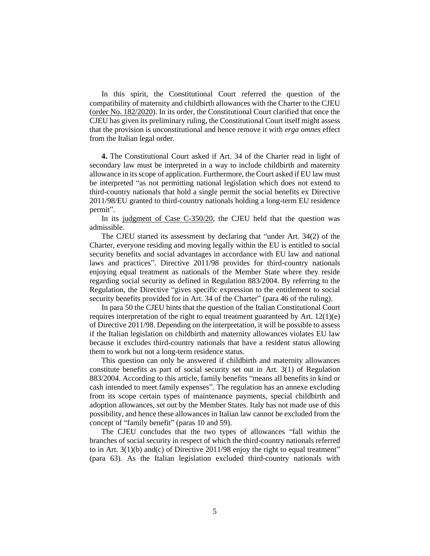In this spirit, the Constitutional Court referred the question of the compatibility of maternity and childbirth allowances with the Charter to the CJEU [\(order No.](https://www.cortecostituzionale.it/actionSchedaPronuncia.do?anno=2020&numero=182) 182/2020). In its order, the Constitutional Court clarified that once the CJEU has given its preliminary ruling, the Constitutional Court itself might assess that the provision is unconstitutional and hence remove it with *erga omnes* effect from the Italian legal order.

**4.** The Constitutional Court asked if Art. 34 of the Charter read in light of secondary law must be interpreted in a way to include childbirth and maternity allowance in its scope of application. Furthermore, the Court asked if EU law must be interpreted "as not permitting national legislation which does not extend to third-country nationals that hold a single permit the social benefits ex Directive 2011/98/EU granted to third-country nationals holding a long-term EU residence permit".

In its [judgment of Case C-350/20,](https://curia.europa.eu/juris/document/document.jsf?text=&docid=245541&pageIndex=0&doclang=en&mode=lst&dir=&occ=first&part=1&cid=2622877) the CJEU held that the question was admissible.

The CJEU started its assessment by declaring that "under Art. 34(2) of the Charter, everyone residing and moving legally within the EU is entitled to social security benefits and social advantages in accordance with EU law and national laws and practices". Directive 2011/98 provides for third-country nationals enjoying equal treatment as nationals of the Member State where they reside regarding social security as defined in Regulation 883/2004. By referring to the Regulation, the Directive "gives specific expression to the entitlement to social security benefits provided for in Art. 34 of the Charter" (para 46 of the ruling).

In para 50 the CJEU hints that the question of the Italian Constitutional Court requires interpretation of the right to equal treatment guaranteed by Art.  $12(1)(e)$ of Directive 2011/98. Depending on the interpretation, it will be possible to assess if the Italian legislation on childbirth and maternity allowances violates EU law because it excludes third-country nationals that have a resident status allowing them to work but not a long-term residence status.

This question can only be answered if childbirth and maternity allowances constitute benefits as part of social security set out in Art. 3(1) of Regulation 883/2004. According to this article, family benefits "means all benefits in kind or cash intended to meet family expenses". The regulation has an annexe excluding from its scope certain types of maintenance payments, special childbirth and adoption allowances, set out by the Member States. Italy has not made use of this possibility, and hence these allowances in Italian law cannot be excluded from the concept of "family benefit" (paras 10 and 59).

The CJEU concludes that the two types of allowances "fall within the branches of social security in respect of which the third-country nationals referred to in Art.  $3(1)(b)$  and(c) of Directive 2011/98 enjoy the right to equal treatment" (para 63). As the Italian legislation excluded third-country nationals with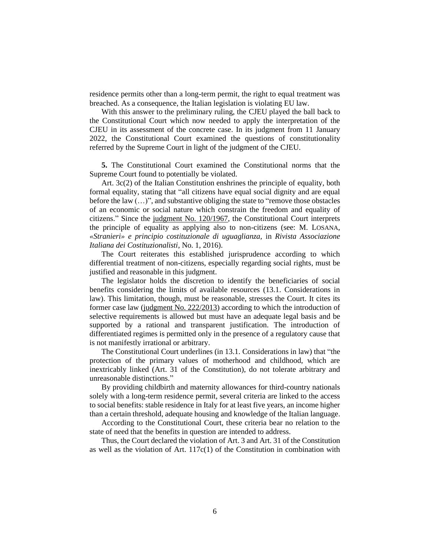residence permits other than a long-term permit, the right to equal treatment was breached. As a consequence, the Italian legislation is violating EU law.

With this answer to the preliminary ruling, the CJEU played the ball back to the Constitutional Court which now needed to apply the interpretation of the CJEU in its assessment of the concrete case. In its judgment from 11 January 2022, the Constitutional Court examined the questions of constitutionality referred by the Supreme Court in light of the judgment of the CJEU.

**5.** The Constitutional Court examined the Constitutional norms that the Supreme Court found to potentially be violated.

Art. 3c(2) of the Italian Constitution enshrines the principle of equality, both formal equality, stating that "all citizens have equal social dignity and are equal before the law (…)", and substantive obliging the state to "remove those obstacles of an economic or social nature which constrain the freedom and equality of citizens." Since the [judgment No. 120/1967,](https://www.giurcost.org/decisioni/1967/0120s-67.html) the Constitutional Court interprets the principle of equality as applying also to non-citizens (see: M. LOSANA, *«Stranieri» e principio costituzionale di uguaglianza,* in *Rivista Associazione Italiana dei Costituzionalisti*, No. 1, 2016).

The Court reiterates this established jurisprudence according to which differential treatment of non-citizens, especially regarding social rights, must be justified and reasonable in this judgment.

The legislator holds the discretion to identify the beneficiaries of social benefits considering the limits of available resources (13.1. Considerations in law). This limitation, though, must be reasonable, stresses the Court. It cites its former case law [\(judgment No. 222/2013\)](https://www.cortecostituzionale.it/actionPronuncia.do) according to which the introduction of selective requirements is allowed but must have an adequate legal basis and be supported by a rational and transparent justification. The introduction of differentiated regimes is permitted only in the presence of a regulatory cause that is not manifestly irrational or arbitrary.

The Constitutional Court underlines (in 13.1. Considerations in law) that "the protection of the primary values of motherhood and childhood, which are inextricably linked (Art. 31 of the Constitution), do not tolerate arbitrary and unreasonable distinctions."

By providing childbirth and maternity allowances for third-country nationals solely with a long-term residence permit, several criteria are linked to the access to social benefits: stable residence in Italy for at least five years, an income higher than a certain threshold, adequate housing and knowledge of the Italian language.

According to the Constitutional Court, these criteria bear no relation to the state of need that the benefits in question are intended to address.

Thus, the Court declared the violation of Art. 3 and Art. 31 of the Constitution as well as the violation of Art.  $117c(1)$  of the Constitution in combination with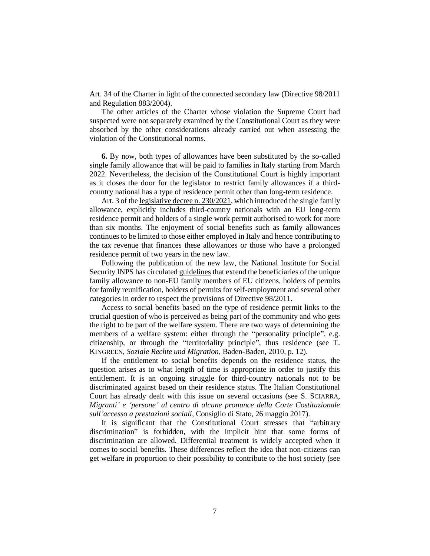Art. 34 of the Charter in light of the connected secondary law (Directive 98/2011 and Regulation 883/2004).

The other articles of the Charter whose violation the Supreme Court had suspected were not separately examined by the Constitutional Court as they were absorbed by the other considerations already carried out when assessing the violation of the Constitutional norms.

**6.** By now, both types of allowances have been substituted by the so-called single family allowance that will be paid to families in Italy starting from March 2022. Nevertheless, the decision of the Constitutional Court is highly important as it closes the door for the legislator to restrict family allowances if a thirdcountry national has a type of residence permit other than long-term residence.

Art. 3 of th[e legislative decree n. 230/2021,](https://www.gazzettaufficiale.it/eli/id/2021/12/30/21G00252/sg) which introduced the single family allowance, explicitly includes third-country nationals with an EU long-term residence permit and holders of a single work permit authorised to work for more than six months. The enjoyment of social benefits such as family allowances continues to be limited to those either employed in Italy and hence contributing to the tax revenue that finances these allowances or those who have a prolonged residence permit of two years in the new law.

Following the publication of the new law, the National Institute for Social Security INPS has circulated [guidelines](https://www.asgi.it/wp-content/uploads/2022/02/Circolare_numero_23_del_09-02-20221-copia.pdf) that extend the beneficiaries of the unique family allowance to non-EU family members of EU citizens, holders of permits for family reunification, holders of permits for self-employment and several other categories in order to respect the provisions of Directive 98/2011.

Access to social benefits based on the type of residence permit links to the crucial question of who is perceived as being part of the community and who gets the right to be part of the welfare system. There are two ways of determining the members of a welfare system: either through the "personality principle", e.g. citizenship, or through the "territoriality principle", thus residence (see T. KINGREEN, *Soziale Rechte und Migration*, Baden-Baden, 2010, p. 12).

If the entitlement to social benefits depends on the residence status, the question arises as to what length of time is appropriate in order to justify this entitlement. It is an ongoing struggle for third-country nationals not to be discriminated against based on their residence status. The Italian Constitutional Court has already dealt with this issue on several occasions (see S. SCIARRA, *Migranti' e 'persone' al centro di alcune pronunce della Corte Costituzionale sull'accesso a prestazioni sociali*, Consiglio di Stato, 26 maggio 2017).

It is significant that the Constitutional Court stresses that "arbitrary discrimination" is forbidden, with the implicit hint that some forms of discrimination are allowed. Differential treatment is widely accepted when it comes to social benefits. These differences reflect the idea that non-citizens can get welfare in proportion to their possibility to contribute to the host society (see